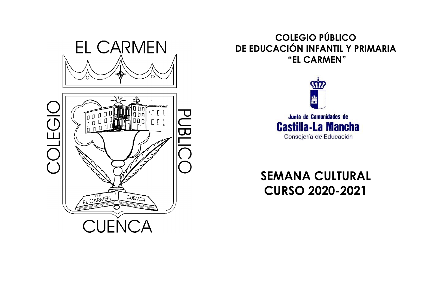



## **COLEGIO PÚBLICO DE EDUCACIÓN INFANTIL Y PRIMARIA "EL CARMEN"**



## **SEMANA CULTURAL CURSO 2020-2021**